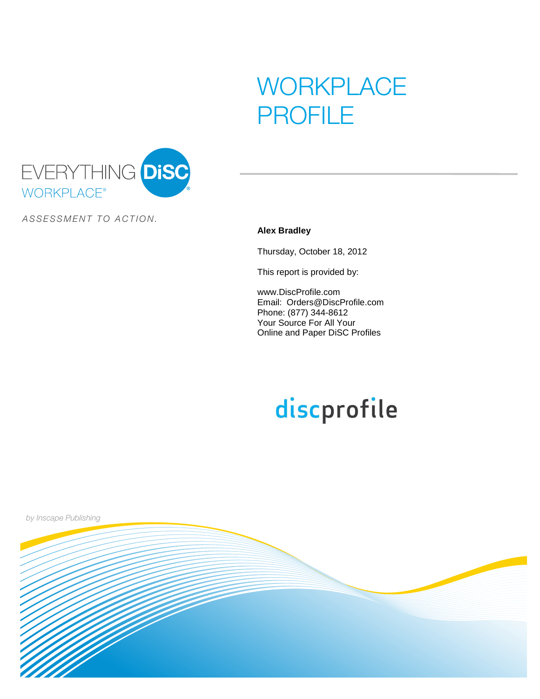# **WORKPLACE** PROFILE



ASSESSMENT TO ACTION.

#### **Alex Bradley**

Thursday, October 18, 2012

This report is provided by:

www.DiscProfile.com Email: Orders@DiscProfile.com Phone: (877) 344-8612 Your Source For All Your Online and Paper DiSC Profiles

# discprofile

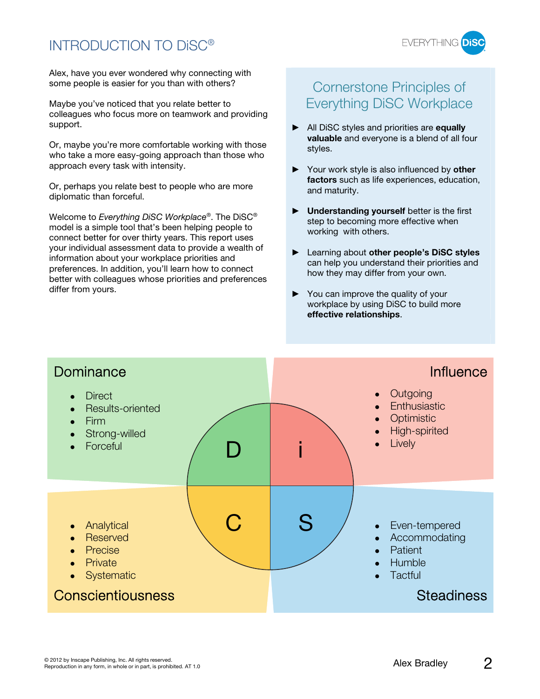### INTRODUCTION TO DiSC®



Alex, have you ever wondered why connecting with some people is easier for you than with others?

Maybe you've noticed that you relate better to colleagues who focus more on teamwork and providing support.

Or, maybe you're more comfortable working with those who take a more easy-going approach than those who approach every task with intensity.

Or, perhaps you relate best to people who are more diplomatic than forceful.

Welcome to Everything DiSC Workplace®. The DiSC® model is a simple tool that's been helping people to connect better for over thirty years. This report uses your individual assessment data to provide a wealth of information about your workplace priorities and preferences. In addition, you'll learn how to connect better with colleagues whose priorities and preferences differ from yours.

### Cornerstone Principles of Everything DiSC Workplace

- All DiSC styles and priorities are **equally valuable** and everyone is a blend of all four styles.
- Your work style is also influenced by **other factors** such as life experiences, education, and maturity.
- **Understanding yourself** better is the first step to becoming more effective when working with others.
- Learning about **other people's DiSC styles** can help you understand their priorities and how they may differ from your own.
- $\blacktriangleright$  You can improve the quality of your workplace by using DiSC to build more **effective relationships**.

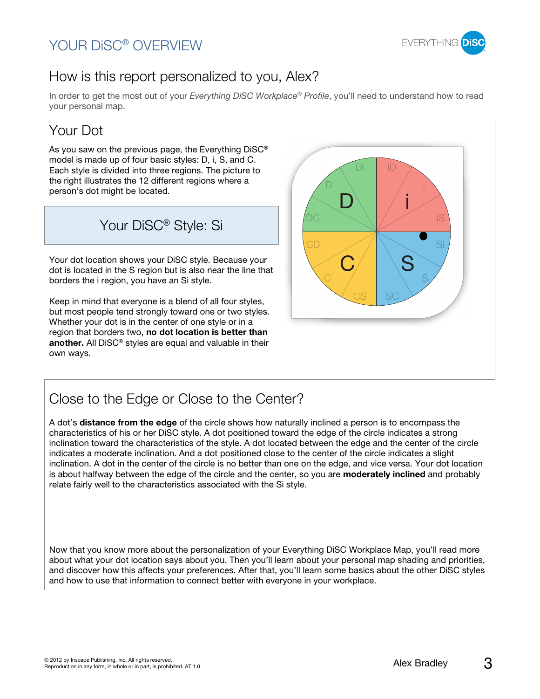### YOUR DiSC® OVERVIEW



### How is this report personalized to you, Alex?

In order to get the most out of your Everything DiSC Workplace® Profile, you'll need to understand how to read your personal map.

# Your Dot

As you saw on the previous page, the Everything DiSC® model is made up of four basic styles: D, i, S, and C. Each style is divided into three regions. The picture to the right illustrates the 12 different regions where a person's dot might be located.

Your DiSC® Style: Si

Your dot location shows your DiSC style. Because your dot is located in the S region but is also near the line that borders the i region, you have an Si style.

Keep in mind that everyone is a blend of all four styles, but most people tend strongly toward one or two styles. Whether your dot is in the center of one style or in a region that borders two, **no dot location is better than another.** All DiSC® styles are equal and valuable in their own ways.



### Close to the Edge or Close to the Center?

A dot's **distance from the edge** of the circle shows how naturally inclined a person is to encompass the characteristics of his or her DiSC style. A dot positioned toward the edge of the circle indicates a strong inclination toward the characteristics of the style. A dot located between the edge and the center of the circle indicates a moderate inclination. And a dot positioned close to the center of the circle indicates a slight inclination. A dot in the center of the circle is no better than one on the edge, and vice versa. Your dot location is about halfway between the edge of the circle and the center, so you are **moderately inclined** and probably relate fairly well to the characteristics associated with the Si style.

Now that you know more about the personalization of your Everything DiSC Workplace Map, you'll read more about what your dot location says about you. Then you'll learn about your personal map shading and priorities, and discover how this affects your preferences. After that, you'll learn some basics about the other DiSC styles and how to use that information to connect better with everyone in your workplace.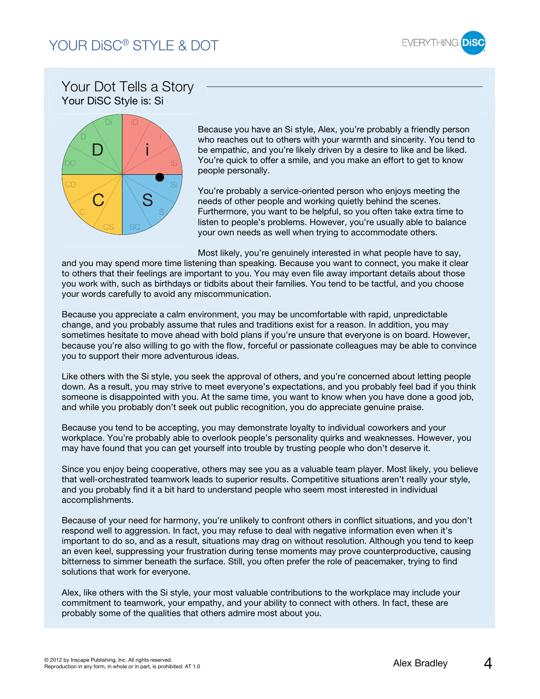

### Your Dot Tells a Story Your DiSC Style is: Si



Because you have an Si style, Alex, you're probably a friendly person who reaches out to others with your warmth and sincerity. You tend to be empathic, and you're likely driven by a desire to like and be liked. You're quick to offer a smile, and you make an effort to get to know people personally.

You're probably a service-oriented person who enjoys meeting the needs of other people and working quietly behind the scenes. Furthermore, you want to be helpful, so you often take extra time to listen to people's problems. However, you're usually able to balance your own needs as well when trying to accommodate others.

Most likely, you're genuinely interested in what people have to say,

and you may spend more time listening than speaking. Because you want to connect, you make it clear to others that their feelings are important to you. You may even file away important details about those you work with, such as birthdays or tidbits about their families. You tend to be tactful, and you choose your words carefully to avoid any miscommunication.

Because you appreciate a calm environment, you may be uncomfortable with rapid, unpredictable change, and you probably assume that rules and traditions exist for a reason. In addition, you may sometimes hesitate to move ahead with bold plans if you're unsure that everyone is on board. However, because you're also willing to go with the flow, forceful or passionate colleagues may be able to convince you to support their more adventurous ideas.

Like others with the Si style, you seek the approval of others, and you're concerned about letting people down. As a result, you may strive to meet everyone's expectations, and you probably feel bad if you think someone is disappointed with you. At the same time, you want to know when you have done a good job, and while you probably don't seek out public recognition, you do appreciate genuine praise.

Because you tend to be accepting, you may demonstrate loyalty to individual coworkers and your workplace. You're probably able to overlook people's personality quirks and weaknesses. However, you may have found that you can get yourself into trouble by trusting people who don't deserve it.

Since you enjoy being cooperative, others may see you as a valuable team player. Most likely, you believe that well-orchestrated teamwork leads to superior results. Competitive situations aren't really your style, and you probably find it a bit hard to understand people who seem most interested in individual accomplishments.

Because of your need for harmony, you're unlikely to confront others in conflict situations, and you don't respond well to aggression. In fact, you may refuse to deal with negative information even when it's important to do so, and as a result, situations may drag on without resolution. Although you tend to keep an even keel, suppressing your frustration during tense moments may prove counterproductive, causing bitterness to simmer beneath the surface. Still, you often prefer the role of peacemaker, trying to find solutions that work for everyone.

Alex, like others with the Si style, your most valuable contributions to the workplace may include your commitment to teamwork, your empathy, and your ability to connect with others. In fact, these are probably some of the qualities that others admire most about you.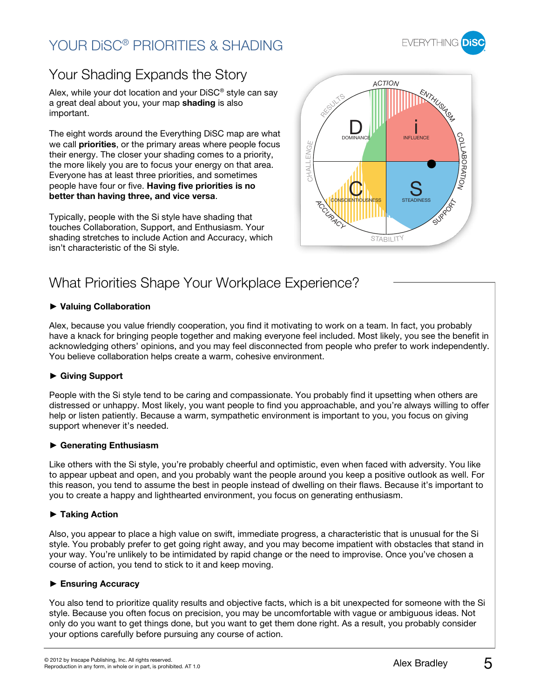# YOUR DISC® PRIORITIES & SHADING



# Your Shading Expands the Story

Alex, while your dot location and your DiSC® style can say a great deal about you, your map **shading** is also important.

The eight words around the Everything DiSC map are what we call **priorities**, or the primary areas where people focus their energy. The closer your shading comes to a priority, the more likely you are to focus your energy on that area. Everyone has at least three priorities, and sometimes people have four or five. **Having five priorities is no better than having three, and vice versa**.

Typically, people with the Si style have shading that touches Collaboration, Support, and Enthusiasm. Your shading stretches to include Action and Accuracy, which isn't characteristic of the Si style.



### What Priorities Shape Your Workplace Experience?

#### **Valuing Collaboration**

Alex, because you value friendly cooperation, you find it motivating to work on a team. In fact, you probably have a knack for bringing people together and making everyone feel included. Most likely, you see the benefit in acknowledging others' opinions, and you may feel disconnected from people who prefer to work independently. You believe collaboration helps create a warm, cohesive environment.

#### **Giving Support**

People with the Si style tend to be caring and compassionate. You probably find it upsetting when others are distressed or unhappy. Most likely, you want people to find you approachable, and you're always willing to offer help or listen patiently. Because a warm, sympathetic environment is important to you, you focus on giving support whenever it's needed.

#### **Generating Enthusiasm**

Like others with the Si style, you're probably cheerful and optimistic, even when faced with adversity. You like to appear upbeat and open, and you probably want the people around you keep a positive outlook as well. For this reason, you tend to assume the best in people instead of dwelling on their flaws. Because it's important to you to create a happy and lighthearted environment, you focus on generating enthusiasm.

#### **Taking Action**

Also, you appear to place a high value on swift, immediate progress, a characteristic that is unusual for the Si style. You probably prefer to get going right away, and you may become impatient with obstacles that stand in your way. You're unlikely to be intimidated by rapid change or the need to improvise. Once you've chosen a course of action, you tend to stick to it and keep moving.

#### **Ensuring Accuracy**

You also tend to prioritize quality results and objective facts, which is a bit unexpected for someone with the Si style. Because you often focus on precision, you may be uncomfortable with vague or ambiguous ideas. Not only do you want to get things done, but you want to get them done right. As a result, you probably consider your options carefully before pursuing any course of action.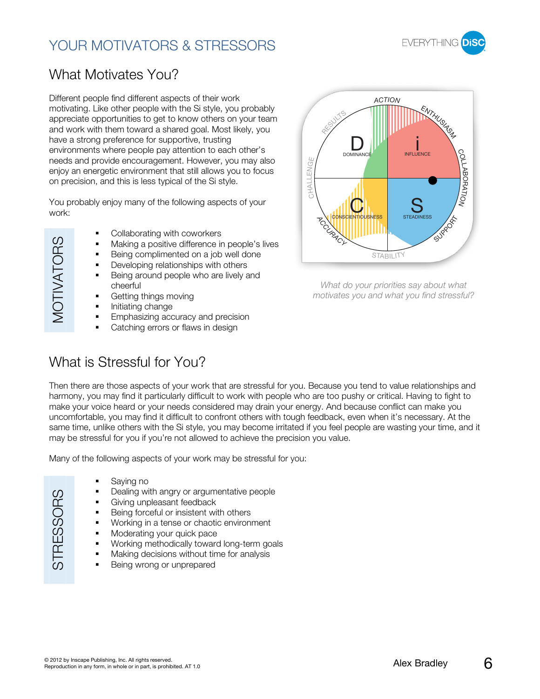# YOUR MOTIVATORS & STRESSORS



### What Motivates You?

Different people find different aspects of their work motivating. Like other people with the Si style, you probably appreciate opportunities to get to know others on your team and work with them toward a shared goal. Most likely, you have a strong preference for supportive, trusting environments where people pay attention to each other's needs and provide encouragement. However, you may also enjoy an energetic environment that still allows you to focus on precision, and this is less typical of the Si style.

You probably enjoy many of the following aspects of your work:

**VIOTIVATORS** MOTIVATORS

- Collaborating with coworkers
- Making a positive difference in people's lives
- Being complimented on a job well done
- **Developing relationships with others**
- Being around people who are lively and cheerful
- Getting things moving
- Initiating change
- Emphasizing accuracy and precision
- Catching errors or flaws in design

### What is Stressful for You?



What do your priorities say about what motivates you and what you find stressful?

Then there are those aspects of your work that are stressful for you. Because you tend to value relationships and harmony, you may find it particularly difficult to work with people who are too pushy or critical. Having to fight to make your voice heard or your needs considered may drain your energy. And because conflict can make you uncomfortable, you may find it difficult to confront others with tough feedback, even when it's necessary. At the same time, unlike others with the Si style, you may become irritated if you feel people are wasting your time, and it may be stressful for you if you're not allowed to achieve the precision you value.

Many of the following aspects of your work may be stressful for you:

- **STRESSORS** STRESSORS
- Saying no
- Dealing with angry or argumentative people
- Giving unpleasant feedback
- **Being forceful or insistent with others**
- **Working in a tense or chaotic environment**
- Moderating your quick pace
- **Working methodically toward long-term goals**
- **Making decisions without time for analysis**
- **Being wrong or unprepared**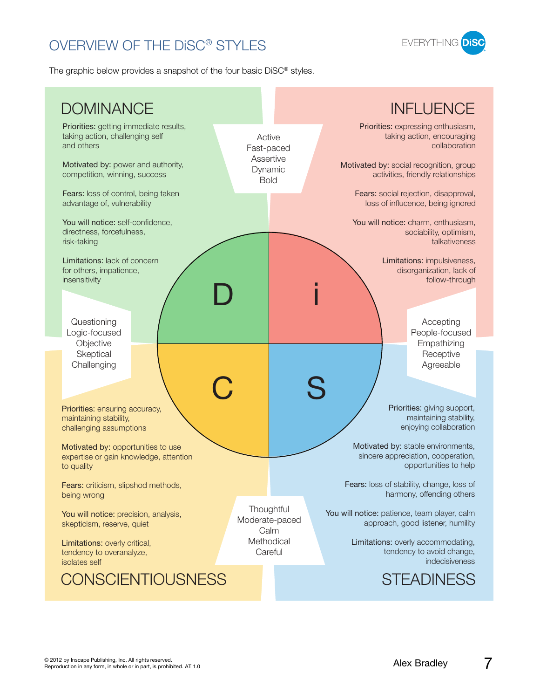# OVERVIEW OF THE DiSC® STYLES



The graphic below provides a snapshot of the four basic DiSC® styles.

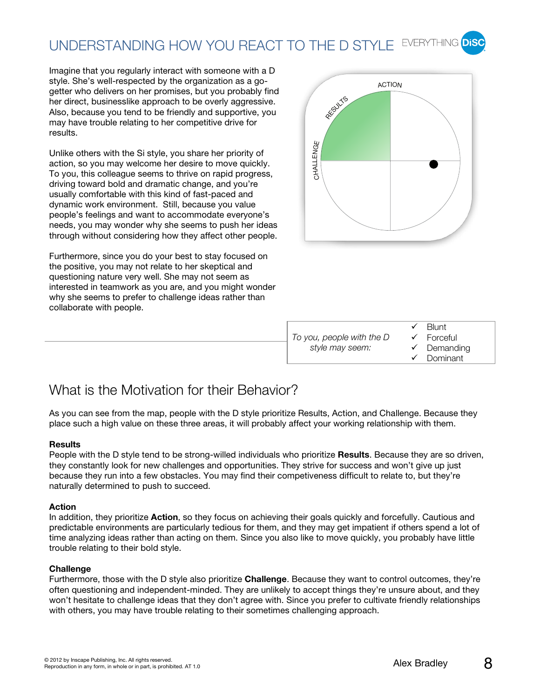# UNDERSTANDING HOW YOU REACT TO THE D STYLE EVERYTHING Disc

Imagine that you regularly interact with someone with a D style. She's well-respected by the organization as a gogetter who delivers on her promises, but you probably find her direct, businesslike approach to be overly aggressive. Also, because you tend to be friendly and supportive, you may have trouble relating to her competitive drive for results.

Unlike others with the Si style, you share her priority of action, so you may welcome her desire to move quickly. To you, this colleague seems to thrive on rapid progress, driving toward bold and dramatic change, and you're usually comfortable with this kind of fast-paced and dynamic work environment. Still, because you value people's feelings and want to accommodate everyone's needs, you may wonder why she seems to push her ideas through without considering how they affect other people.

Furthermore, since you do your best to stay focused on the positive, you may not relate to her skeptical and questioning nature very well. She may not seem as interested in teamwork as you are, and you might wonder why she seems to prefer to challenge ideas rather than collaborate with people.



|                           | $\checkmark$ Blunt     |
|---------------------------|------------------------|
| To you, people with the D | $\checkmark$ Forceful  |
| style may seem:           | $\checkmark$ Demanding |
|                           | $\checkmark$ Dominant  |

### What is the Motivation for their Behavior?

As you can see from the map, people with the D style prioritize Results, Action, and Challenge. Because they place such a high value on these three areas, it will probably affect your working relationship with them.

#### **Results**

People with the D style tend to be strong-willed individuals who prioritize **Results**. Because they are so driven, they constantly look for new challenges and opportunities. They strive for success and won't give up just because they run into a few obstacles. You may find their competiveness difficult to relate to, but they're naturally determined to push to succeed.

#### **Action**

In addition, they prioritize **Action**, so they focus on achieving their goals quickly and forcefully. Cautious and predictable environments are particularly tedious for them, and they may get impatient if others spend a lot of time analyzing ideas rather than acting on them. Since you also like to move quickly, you probably have little trouble relating to their bold style.

#### **Challenge**

Furthermore, those with the D style also prioritize **Challenge**. Because they want to control outcomes, they're often questioning and independent-minded. They are unlikely to accept things they're unsure about, and they won't hesitate to challenge ideas that they don't agree with. Since you prefer to cultivate friendly relationships with others, you may have trouble relating to their sometimes challenging approach.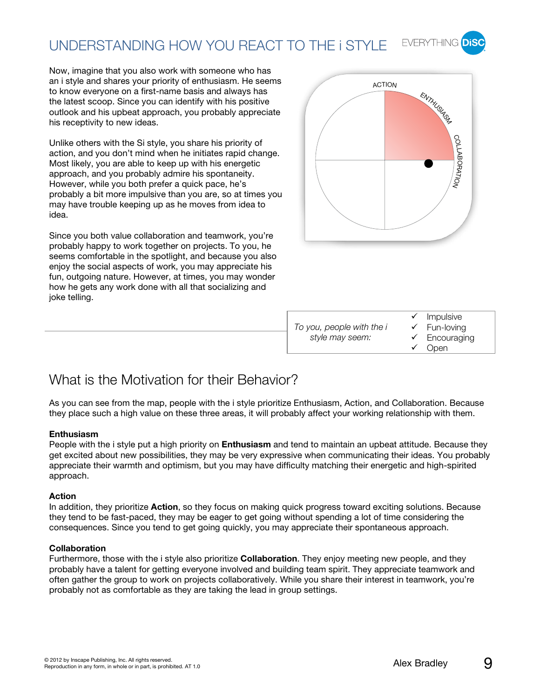#### **EVERYTHING** UNDERSTANDING HOW YOU REACT TO THE i STYLE

Now, imagine that you also work with someone who has an i style and shares your priority of enthusiasm. He seems to know everyone on a first-name basis and always has the latest scoop. Since you can identify with his positive outlook and his upbeat approach, you probably appreciate his receptivity to new ideas.

Unlike others with the Si style, you share his priority of action, and you don't mind when he initiates rapid change. Most likely, you are able to keep up with his energetic approach, and you probably admire his spontaneity. However, while you both prefer a quick pace, he's probably a bit more impulsive than you are, so at times you may have trouble keeping up as he moves from idea to idea.

Since you both value collaboration and teamwork, you're probably happy to work together on projects. To you, he seems comfortable in the spotlight, and because you also enjoy the social aspects of work, you may appreciate his fun, outgoing nature. However, at times, you may wonder how he gets any work done with all that socializing and joke telling.



|                           | $\checkmark$ Impulsive   |
|---------------------------|--------------------------|
| To you, people with the i | $\checkmark$ Fun-loving  |
| style may seem:           | $\checkmark$ Encouraging |
|                           | $\checkmark$ Open        |

### What is the Motivation for their Behavior?

As you can see from the map, people with the i style prioritize Enthusiasm, Action, and Collaboration. Because they place such a high value on these three areas, it will probably affect your working relationship with them.

#### **Enthusiasm**

People with the i style put a high priority on **Enthusiasm** and tend to maintain an upbeat attitude. Because they get excited about new possibilities, they may be very expressive when communicating their ideas. You probably appreciate their warmth and optimism, but you may have difficulty matching their energetic and high-spirited approach.

#### **Action**

In addition, they prioritize **Action**, so they focus on making quick progress toward exciting solutions. Because they tend to be fast-paced, they may be eager to get going without spending a lot of time considering the consequences. Since you tend to get going quickly, you may appreciate their spontaneous approach.

#### **Collaboration**

Furthermore, those with the i style also prioritize **Collaboration**. They enjoy meeting new people, and they probably have a talent for getting everyone involved and building team spirit. They appreciate teamwork and often gather the group to work on projects collaboratively. While you share their interest in teamwork, you're probably not as comfortable as they are taking the lead in group settings.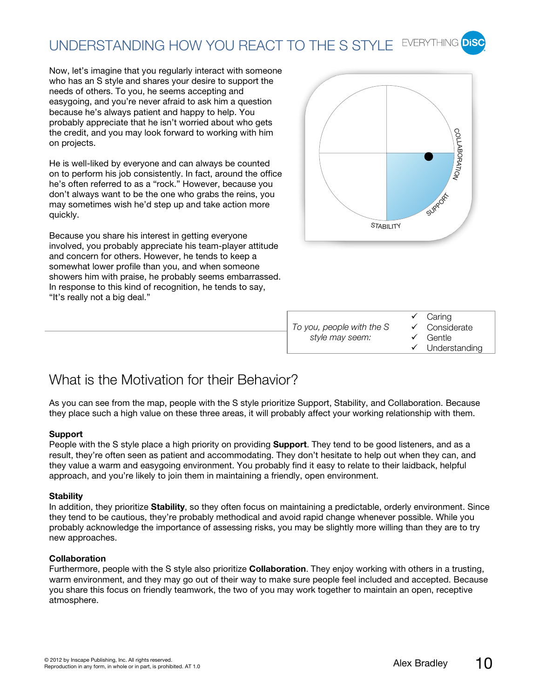#### UNDERSTANDING HOW YOU REACT TO THE S STYLE EVERYTHING **DiS**

Now, let's imagine that you regularly interact with someone who has an S style and shares your desire to support the needs of others. To you, he seems accepting and easygoing, and you're never afraid to ask him a question because he's always patient and happy to help. You probably appreciate that he isn't worried about who gets the credit, and you may look forward to working with him on projects.

He is well-liked by everyone and can always be counted on to perform his job consistently. In fact, around the office he's often referred to as a "rock." However, because you don't always want to be the one who grabs the reins, you may sometimes wish he'd step up and take action more quickly.

Because you share his interest in getting everyone involved, you probably appreciate his team-player attitude and concern for others. However, he tends to keep a somewhat lower profile than you, and when someone showers him with praise, he probably seems embarrassed. In response to this kind of recognition, he tends to say, "It's really not a big deal."



|                           | $\checkmark$ Caring        |
|---------------------------|----------------------------|
| To you, people with the S | $\checkmark$ Considerate   |
| style may seem:           | $\checkmark$ Gentle        |
|                           | $\checkmark$ Understanding |

### What is the Motivation for their Behavior?

As you can see from the map, people with the S style prioritize Support, Stability, and Collaboration. Because they place such a high value on these three areas, it will probably affect your working relationship with them.

#### **Support**

People with the S style place a high priority on providing **Support**. They tend to be good listeners, and as a result, they're often seen as patient and accommodating. They don't hesitate to help out when they can, and they value a warm and easygoing environment. You probably find it easy to relate to their laidback, helpful approach, and you're likely to join them in maintaining a friendly, open environment.

#### **Stability**

In addition, they prioritize **Stability**, so they often focus on maintaining a predictable, orderly environment. Since they tend to be cautious, they're probably methodical and avoid rapid change whenever possible. While you probably acknowledge the importance of assessing risks, you may be slightly more willing than they are to try new approaches.

#### **Collaboration**

Furthermore, people with the S style also prioritize **Collaboration**. They enjoy working with others in a trusting, warm environment, and they may go out of their way to make sure people feel included and accepted. Because you share this focus on friendly teamwork, the two of you may work together to maintain an open, receptive atmosphere.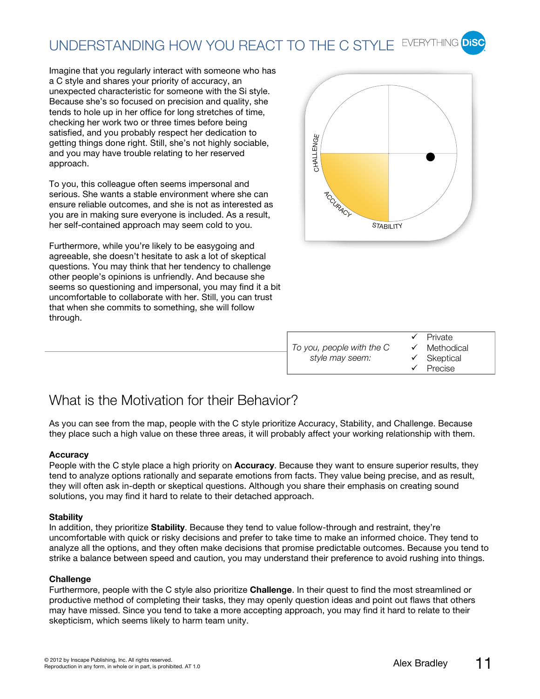# UNDERSTANDING HOW YOU REACT TO THE C STYLE EVERYTHING DISC

Imagine that you regularly interact with someone who has a C style and shares your priority of accuracy, an unexpected characteristic for someone with the Si style. Because she's so focused on precision and quality, she tends to hole up in her office for long stretches of time, checking her work two or three times before being satisfied, and you probably respect her dedication to getting things done right. Still, she's not highly sociable, and you may have trouble relating to her reserved approach.

To you, this colleague often seems impersonal and serious. She wants a stable environment where she can ensure reliable outcomes, and she is not as interested as you are in making sure everyone is included. As a result, her self-contained approach may seem cold to you.

Furthermore, while you're likely to be easygoing and agreeable, she doesn't hesitate to ask a lot of skeptical questions. You may think that her tendency to challenge other people's opinions is unfriendly. And because she seems so questioning and impersonal, you may find it a bit uncomfortable to collaborate with her. Still, you can trust that when she commits to something, she will follow through.



|                           | $\checkmark$ Private    |
|---------------------------|-------------------------|
| To you, people with the C | $\checkmark$ Methodical |
| style may seem:           | $\checkmark$ Skeptical  |
|                           | $\checkmark$ Precise    |

### What is the Motivation for their Behavior?

As you can see from the map, people with the C style prioritize Accuracy, Stability, and Challenge. Because they place such a high value on these three areas, it will probably affect your working relationship with them.

#### **Accuracy**

People with the C style place a high priority on **Accuracy**. Because they want to ensure superior results, they tend to analyze options rationally and separate emotions from facts. They value being precise, and as result, they will often ask in-depth or skeptical questions. Although you share their emphasis on creating sound solutions, you may find it hard to relate to their detached approach.

#### **Stability**

In addition, they prioritize **Stability**. Because they tend to value follow-through and restraint, they're uncomfortable with quick or risky decisions and prefer to take time to make an informed choice. They tend to analyze all the options, and they often make decisions that promise predictable outcomes. Because you tend to strike a balance between speed and caution, you may understand their preference to avoid rushing into things.

#### **Challenge**

Furthermore, people with the C style also prioritize **Challenge**. In their quest to find the most streamlined or productive method of completing their tasks, they may openly question ideas and point out flaws that others may have missed. Since you tend to take a more accepting approach, you may find it hard to relate to their skepticism, which seems likely to harm team unity.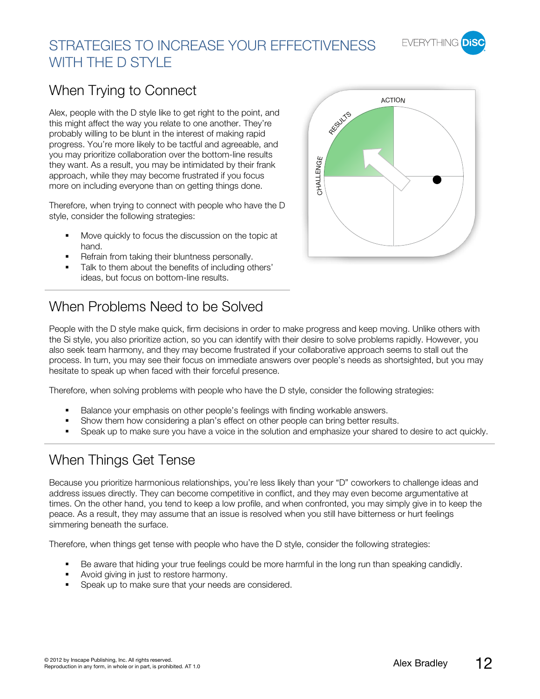

# STRATEGIES TO INCREASE YOUR EFFECTIVENESS WITH THE D STYLE

### When Trying to Connect

Alex, people with the D style like to get right to the point, and this might affect the way you relate to one another. They're probably willing to be blunt in the interest of making rapid progress. You're more likely to be tactful and agreeable, and you may prioritize collaboration over the bottom-line results they want. As a result, you may be intimidated by their frank approach, while they may become frustrated if you focus more on including everyone than on getting things done.

Therefore, when trying to connect with people who have the D style, consider the following strategies:

- Move quickly to focus the discussion on the topic at hand.
- Refrain from taking their bluntness personally.
- Talk to them about the benefits of including others' ideas, but focus on bottom-line results.

### When Problems Need to be Solved



People with the D style make quick, firm decisions in order to make progress and keep moving. Unlike others with the Si style, you also prioritize action, so you can identify with their desire to solve problems rapidly. However, you also seek team harmony, and they may become frustrated if your collaborative approach seems to stall out the process. In turn, you may see their focus on immediate answers over people's needs as shortsighted, but you may hesitate to speak up when faced with their forceful presence.

Therefore, when solving problems with people who have the D style, consider the following strategies:

- **Balance your emphasis on other people's feelings with finding workable answers.**
- Show them how considering a plan's effect on other people can bring better results.
- Speak up to make sure you have a voice in the solution and emphasize your shared to desire to act quickly.

### When Things Get Tense

Because you prioritize harmonious relationships, you're less likely than your "D" coworkers to challenge ideas and address issues directly. They can become competitive in conflict, and they may even become argumentative at times. On the other hand, you tend to keep a low profile, and when confronted, you may simply give in to keep the peace. As a result, they may assume that an issue is resolved when you still have bitterness or hurt feelings simmering beneath the surface.

Therefore, when things get tense with people who have the D style, consider the following strategies:

- Be aware that hiding your true feelings could be more harmful in the long run than speaking candidly.
- Avoid giving in just to restore harmony.
- Speak up to make sure that your needs are considered.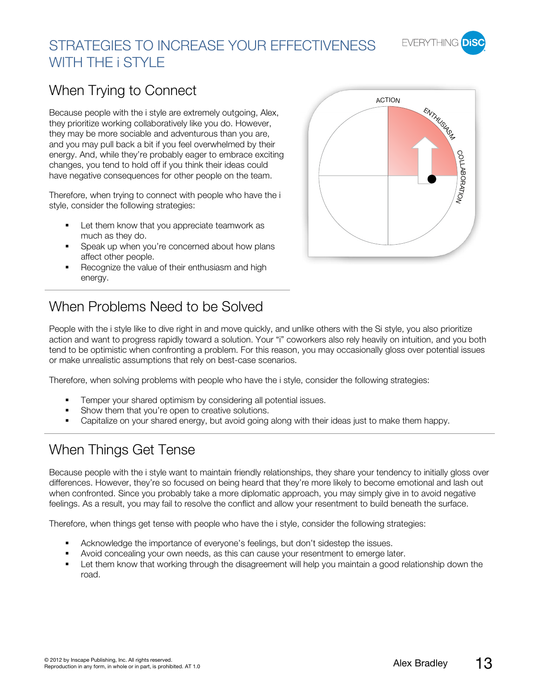

# STRATEGIES TO INCREASE YOUR EFFECTIVENESS WITH THE **i STYLE**

### When Trying to Connect

Because people with the i style are extremely outgoing, Alex, they prioritize working collaboratively like you do. However, they may be more sociable and adventurous than you are, and you may pull back a bit if you feel overwhelmed by their energy. And, while they're probably eager to embrace exciting changes, you tend to hold off if you think their ideas could have negative consequences for other people on the team.

Therefore, when trying to connect with people who have the i style, consider the following strategies:

- **Let them know that you appreciate teamwork as** much as they do.
- **Speak up when you're concerned about how plans** affect other people.
- Recognize the value of their enthusiasm and high energy.

# When Problems Need to be Solved

People with the i style like to dive right in and move quickly, and unlike others with the Si style, you also prioritize action and want to progress rapidly toward a solution. Your "i" coworkers also rely heavily on intuition, and you both tend to be optimistic when confronting a problem. For this reason, you may occasionally gloss over potential issues or make unrealistic assumptions that rely on best-case scenarios.

Therefore, when solving problems with people who have the i style, consider the following strategies:

- **Temper your shared optimism by considering all potential issues.**
- Show them that you're open to creative solutions.
- Capitalize on your shared energy, but avoid going along with their ideas just to make them happy.

### When Things Get Tense

Because people with the i style want to maintain friendly relationships, they share your tendency to initially gloss over differences. However, they're so focused on being heard that they're more likely to become emotional and lash out when confronted. Since you probably take a more diplomatic approach, you may simply give in to avoid negative feelings. As a result, you may fail to resolve the conflict and allow your resentment to build beneath the surface.

Therefore, when things get tense with people who have the i style, consider the following strategies:

- Acknowledge the importance of everyone's feelings, but don't sidestep the issues.
- Avoid concealing your own needs, as this can cause your resentment to emerge later.
- Let them know that working through the disagreement will help you maintain a good relationship down the road.

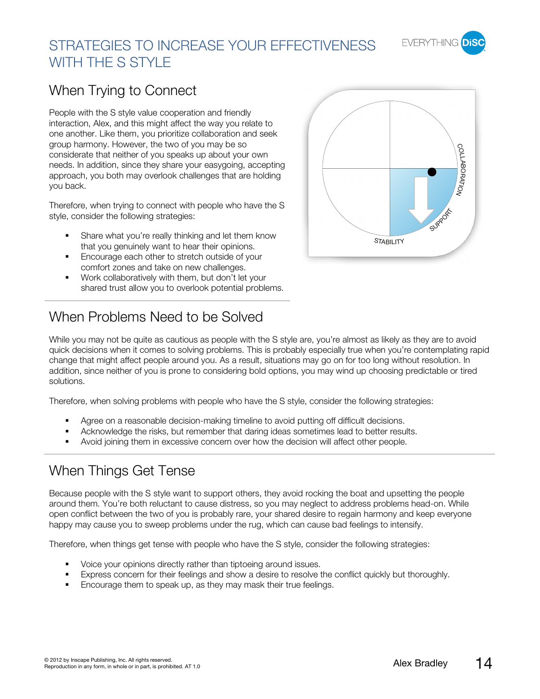

### When Trying to Connect

People with the S style value cooperation and friendly interaction, Alex, and this might affect the way you relate to one another. Like them, you prioritize collaboration and seek group harmony. However, the two of you may be so considerate that neither of you speaks up about your own needs. In addition, since they share your easygoing, accepting approach, you both may overlook challenges that are holding you back.

Therefore, when trying to connect with people who have the S style, consider the following strategies:

- Share what you're really thinking and let them know that you genuinely want to hear their opinions.
- Encourage each other to stretch outside of your comfort zones and take on new challenges.
- Work collaboratively with them, but don't let your shared trust allow you to overlook potential problems.



# When Problems Need to be Solved

While you may not be quite as cautious as people with the S style are, you're almost as likely as they are to avoid quick decisions when it comes to solving problems. This is probably especially true when you're contemplating rapid change that might affect people around you. As a result, situations may go on for too long without resolution. In addition, since neither of you is prone to considering bold options, you may wind up choosing predictable or tired solutions.

Therefore, when solving problems with people who have the S style, consider the following strategies:

- Agree on a reasonable decision-making timeline to avoid putting off difficult decisions.
- Acknowledge the risks, but remember that daring ideas sometimes lead to better results.
- Avoid joining them in excessive concern over how the decision will affect other people.

### When Things Get Tense

Because people with the S style want to support others, they avoid rocking the boat and upsetting the people around them. You're both reluctant to cause distress, so you may neglect to address problems head-on. While open conflict between the two of you is probably rare, your shared desire to regain harmony and keep everyone happy may cause you to sweep problems under the rug, which can cause bad feelings to intensify.

Therefore, when things get tense with people who have the S style, consider the following strategies:

- Voice your opinions directly rather than tiptoeing around issues.
- **Express concern for their feelings and show a desire to resolve the conflict quickly but thoroughly.**
- Encourage them to speak up, as they may mask their true feelings.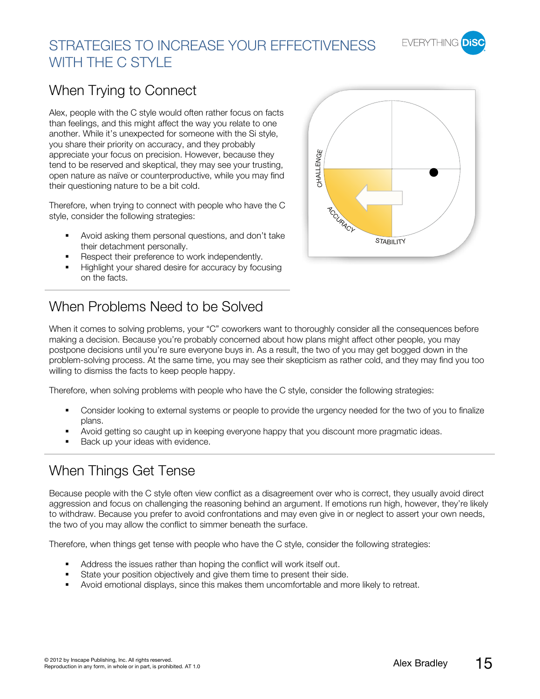

# STRATEGIES TO INCREASE YOUR EFFECTIVENESS WITH THE C STYLE

# When Trying to Connect

Alex, people with the C style would often rather focus on facts than feelings, and this might affect the way you relate to one another. While it's unexpected for someone with the Si style, you share their priority on accuracy, and they probably appreciate your focus on precision. However, because they tend to be reserved and skeptical, they may see your trusting, open nature as naïve or counterproductive, while you may find their questioning nature to be a bit cold.

Therefore, when trying to connect with people who have the C style, consider the following strategies:

- Avoid asking them personal questions, and don't take their detachment personally.
- Respect their preference to work independently.
- Highlight your shared desire for accuracy by focusing on the facts.

# When Problems Need to be Solved

When it comes to solving problems, your "C" coworkers want to thoroughly consider all the consequences before making a decision. Because you're probably concerned about how plans might affect other people, you may postpone decisions until you're sure everyone buys in. As a result, the two of you may get bogged down in the problem-solving process. At the same time, you may see their skepticism as rather cold, and they may find you too willing to dismiss the facts to keep people happy.

Therefore, when solving problems with people who have the C style, consider the following strategies:

- Consider looking to external systems or people to provide the urgency needed for the two of you to finalize plans.
- Avoid getting so caught up in keeping everyone happy that you discount more pragmatic ideas.
- Back up your ideas with evidence.

### When Things Get Tense

Because people with the C style often view conflict as a disagreement over who is correct, they usually avoid direct aggression and focus on challenging the reasoning behind an argument. If emotions run high, however, they're likely to withdraw. Because you prefer to avoid confrontations and may even give in or neglect to assert your own needs, the two of you may allow the conflict to simmer beneath the surface.

Therefore, when things get tense with people who have the C style, consider the following strategies:

- Address the issues rather than hoping the conflict will work itself out.
- State your position objectively and give them time to present their side.
- Avoid emotional displays, since this makes them uncomfortable and more likely to retreat.



**EVERYTHING**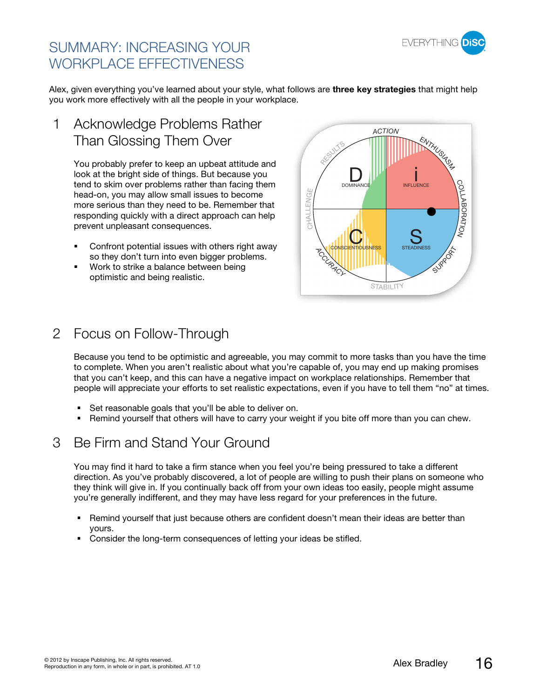

### SUMMARY: INCREASING YOUR WORKPLACE EFFECTIVENESS

Alex, given everything you've learned about your style, what follows are **three key strategies** that might help you work more effectively with all the people in your workplace.

Acknowledge Problems Rather Than Glossing Them Over 1

> You probably prefer to keep an upbeat attitude and look at the bright side of things. But because you tend to skim over problems rather than facing them head-on, you may allow small issues to become more serious than they need to be. Remember that responding quickly with a direct approach can help prevent unpleasant consequences.

- **•** Confront potential issues with others right away so they don't turn into even bigger problems.
- Work to strike a balance between being optimistic and being realistic.



### 2 Focus on Follow-Through

Because you tend to be optimistic and agreeable, you may commit to more tasks than you have the time to complete. When you aren't realistic about what you're capable of, you may end up making promises that you can't keep, and this can have a negative impact on workplace relationships. Remember that people will appreciate your efforts to set realistic expectations, even if you have to tell them "no" at times.

- Set reasonable goals that you'll be able to deliver on.
- **-** Remind yourself that others will have to carry your weight if you bite off more than you can chew.

### 3 Be Firm and Stand Your Ground

You may find it hard to take a firm stance when you feel you're being pressured to take a different direction. As you've probably discovered, a lot of people are willing to push their plans on someone who they think will give in. If you continually back off from your own ideas too easily, people might assume you're generally indifferent, and they may have less regard for your preferences in the future.

- Remind yourself that just because others are confident doesn't mean their ideas are better than yours.
- Consider the long-term consequences of letting your ideas be stifled.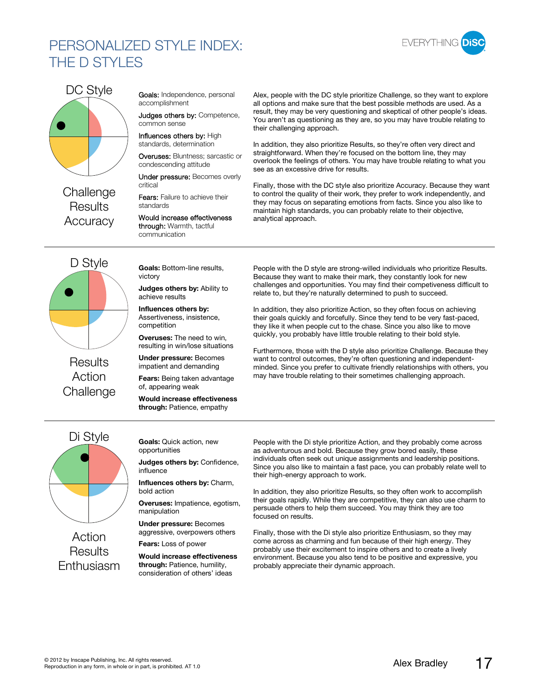### PERSONALIZED STYLE INDEX: THE D STYLES





# **Challenge Results**

D Style

**Results** Action

Goals: Independence, personal accomplishment

Judges others by: Competence, common sense

Influences others by: High standards, determination

Overuses: Bluntness; sarcastic or condescending attitude

Under pressure: Becomes overly critical

Fears: Failure to achieve their standards

Accuracy Would increase effectiveness through: Warmth, tactful communication

Alex, people with the DC style prioritize Challenge, so they want to explore all options and make sure that the best possible methods are used. As a result, they may be very questioning and skeptical of other people's ideas. You aren't as questioning as they are, so you may have trouble relating to their challenging approach.

In addition, they also prioritize Results, so they're often very direct and straightforward. When they're focused on the bottom line, they may overlook the feelings of others. You may have trouble relating to what you see as an excessive drive for results.

Finally, those with the DC style also prioritize Accuracy. Because they want to control the quality of their work, they prefer to work independently, and they may focus on separating emotions from facts. Since you also like to maintain high standards, you can probably relate to their objective, analytical approach.

People with the D style are strong-willed individuals who prioritize Results. Because they want to make their mark, they constantly look for new challenges and opportunities. You may find their competiveness difficult to relate to, but they're naturally determined to push to succeed.

In addition, they also prioritize Action, so they often focus on achieving their goals quickly and forcefully. Since they tend to be very fast-paced, they like it when people cut to the chase. Since you also like to move quickly, you probably have little trouble relating to their bold style.

Furthermore, those with the D style also prioritize Challenge. Because they want to control outcomes, they're often questioning and independentminded. Since you prefer to cultivate friendly relationships with others, you may have trouble relating to their sometimes challenging approach.

**Goals:** Bottom-line results, victory

**Judges others by:** Ability to achieve results

**Influences others by:** Assertiveness, insistence, competition

**Overuses:** The need to win, resulting in win/lose situations

**Under pressure:** Becomes impatient and demanding

**Fears:** Being taken advantage of, appearing weak

Challenge **Would increase effectiveness through:** Patience, empathy

> **Goals:** Quick action, new opportunities

**Judges others by:** Confidence, influence

**Influences others by:** Charm, bold action

**Overuses:** Impatience, egotism, manipulation

**Under pressure:** Becomes aggressive, overpowers others

**Fears:** Loss of power

**Would increase effectiveness through:** Patience, humility, consideration of others' ideas

People with the Di style prioritize Action, and they probably come across as adventurous and bold. Because they grow bored easily, these individuals often seek out unique assignments and leadership positions. Since you also like to maintain a fast pace, you can probably relate well to their high-energy approach to work.

In addition, they also prioritize Results, so they often work to accomplish their goals rapidly. While they are competitive, they can also use charm to persuade others to help them succeed. You may think they are too focused on results.

Finally, those with the Di style also prioritize Enthusiasm, so they may come across as charming and fun because of their high energy. They probably use their excitement to inspire others and to create a lively environment. Because you also tend to be positive and expressive, you probably appreciate their dynamic approach.



Action **Results** Enthusiasm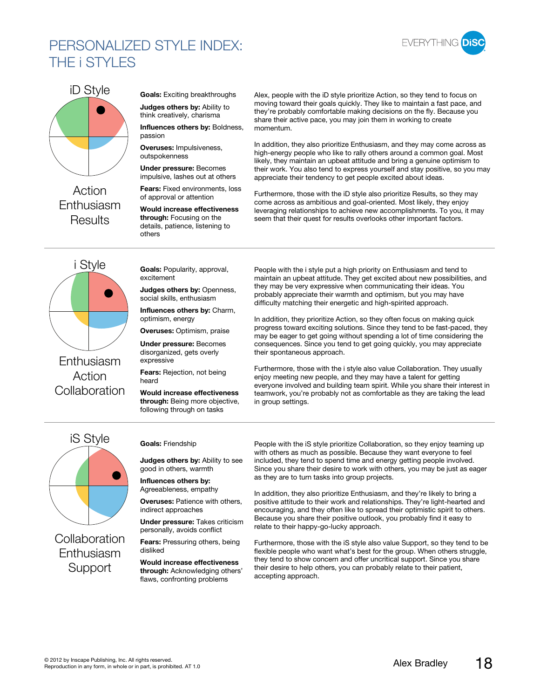### PERSONALIZED STYLE INDEX: THE **i STYLES**





Action Enthusiasm **Results** 

**Goals:** Exciting breakthroughs **Judges others by:** Ability to

think creatively, charisma **Influences others by:** Boldness,

passion **Overuses:** Impulsiveness, outspokenness

**Under pressure:** Becomes impulsive, lashes out at others

**Fears:** Fixed environments, loss of approval or attention

**Would increase effectiveness through:** Focusing on the details, patience, listening to others

Alex, people with the iD style prioritize Action, so they tend to focus on moving toward their goals quickly. They like to maintain a fast pace, and they're probably comfortable making decisions on the fly. Because you share their active pace, you may join them in working to create momentum.

In addition, they also prioritize Enthusiasm, and they may come across as high-energy people who like to rally others around a common goal. Most likely, they maintain an upbeat attitude and bring a genuine optimism to their work. You also tend to express yourself and stay positive, so you may appreciate their tendency to get people excited about ideas.

Furthermore, those with the iD style also prioritize Results, so they may come across as ambitious and goal-oriented. Most likely, they enjoy leveraging relationships to achieve new accomplishments. To you, it may seem that their quest for results overlooks other important factors.

i Style Enthusiasm Action

**Goals:** Popularity, approval, excitement

**Judges others by:** Openness, social skills, enthusiasm

**Influences others by:** Charm, optimism, energy

**Overuses:** Optimism, praise

**Under pressure:** Becomes disorganized, gets overly expressive

**Fears:** Rejection, not being heard

Collaboration **Would increase effectiveness through:** Being more objective, following through on tasks

People with the i style put a high priority on Enthusiasm and tend to maintain an upbeat attitude. They get excited about new possibilities, and they may be very expressive when communicating their ideas. You probably appreciate their warmth and optimism, but you may have difficulty matching their energetic and high-spirited approach.

In addition, they prioritize Action, so they often focus on making quick progress toward exciting solutions. Since they tend to be fast-paced, they may be eager to get going without spending a lot of time considering the consequences. Since you tend to get going quickly, you may appreciate their spontaneous approach.

Furthermore, those with the i style also value Collaboration. They usually enjoy meeting new people, and they may have a talent for getting everyone involved and building team spirit. While you share their interest in teamwork, you're probably not as comfortable as they are taking the lead in group settings.

iS Style

Collaboration Enthusiasm

#### **Goals:** Friendship

**Judges others by:** Ability to see good in others, warmth

**Influences others by:** Agreeableness, empathy

**Overuses:** Patience with others, indirect approaches

**Under pressure:** Takes criticism personally, avoids conflict

**Fears:** Pressuring others, being disliked

Support **Would increase effectiveness through:** Acknowledging others' flaws, confronting problems

People with the iS style prioritize Collaboration, so they enjoy teaming up with others as much as possible. Because they want everyone to feel included, they tend to spend time and energy getting people involved. Since you share their desire to work with others, you may be just as eager as they are to turn tasks into group projects.

In addition, they also prioritize Enthusiasm, and they're likely to bring a positive attitude to their work and relationships. They're light-hearted and encouraging, and they often like to spread their optimistic spirit to others. Because you share their positive outlook, you probably find it easy to relate to their happy-go-lucky approach.

Furthermore, those with the iS style also value Support, so they tend to be flexible people who want what's best for the group. When others struggle, they tend to show concern and offer uncritical support. Since you share their desire to help others, you can probably relate to their patient, accepting approach.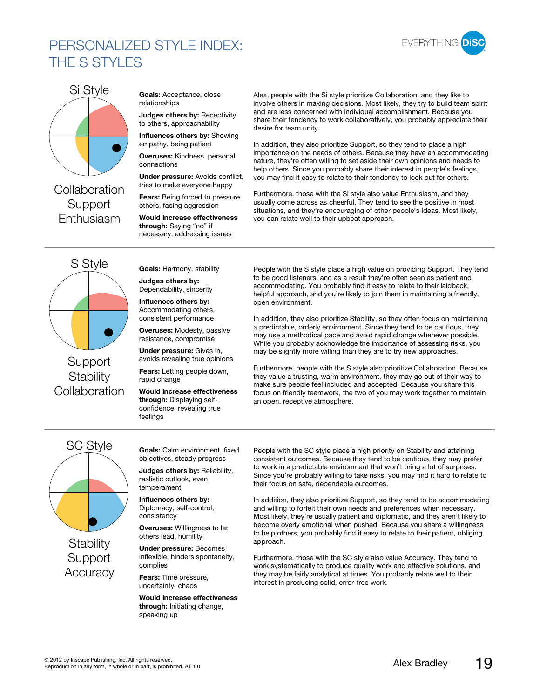### PERSONALIZED STYLE INDEX: THE S STYLES





**Collaboration Support** 

**Goals:** Acceptance, close relationships

**Judges others by:** Receptivity to others, approachability

**Influences others by:** Showing empathy, being patient

**Overuses:** Kindness, personal connections

**Under pressure:** Avoids conflict, tries to make everyone happy

**Fears:** Being forced to pressure others, facing aggression

Enthusiasm **Would increase effectiveness through:** Saying "no" if necessary, addressing issues

Alex, people with the Si style prioritize Collaboration, and they like to involve others in making decisions. Most likely, they try to build team spirit and are less concerned with individual accomplishment. Because you share their tendency to work collaboratively, you probably appreciate their desire for team unity.

In addition, they also prioritize Support, so they tend to place a high importance on the needs of others. Because they have an accommodating nature, they're often willing to set aside their own opinions and needs to help others. Since you probably share their interest in people's feelings, you may find it easy to relate to their tendency to look out for others.

Furthermore, those with the Si style also value Enthusiasm, and they usually come across as cheerful. They tend to see the positive in most situations, and they're encouraging of other people's ideas. Most likely, you can relate well to their upbeat approach.

S Style

**Support Stability** Collaboration **Would increase effectiveness** 

**Goals:** Harmony, stability

**Judges others by:** Dependability, sincerity

**Influences others by:** Accommodating others, consistent performance

**Overuses:** Modesty, passive resistance, compromise

**Under pressure:** Gives in, avoids revealing true opinions

**Fears:** Letting people down, rapid change

**through:** Displaying selfconfidence, revealing true feelings

People with the S style place a high value on providing Support. They tend to be good listeners, and as a result they're often seen as patient and accommodating. You probably find it easy to relate to their laidback, helpful approach, and you're likely to join them in maintaining a friendly, open environment.

In addition, they also prioritize Stability, so they often focus on maintaining a predictable, orderly environment. Since they tend to be cautious, they may use a methodical pace and avoid rapid change whenever possible. While you probably acknowledge the importance of assessing risks, you may be slightly more willing than they are to try new approaches.

Furthermore, people with the S style also prioritize Collaboration. Because they value a trusting, warm environment, they may go out of their way to make sure people feel included and accepted. Because you share this focus on friendly teamwork, the two of you may work together to maintain an open, receptive atmosphere.



**Stability Support** Accuracy **Goals:** Calm environment, fixed objectives, steady progress

**Judges others by:** Reliability, realistic outlook, even temperament

**Influences others by:** Diplomacy, self-control, consistency

**Overuses:** Willingness to let others lead, humility

**Under pressure:** Becomes inflexible, hinders spontaneity, complies

**Fears:** Time pressure, uncertainty, chaos

**Would increase effectiveness through:** Initiating change, speaking up

People with the SC style place a high priority on Stability and attaining consistent outcomes. Because they tend to be cautious, they may prefer to work in a predictable environment that won't bring a lot of surprises. Since you're probably willing to take risks, you may find it hard to relate to their focus on safe, dependable outcomes.

In addition, they also prioritize Support, so they tend to be accommodating and willing to forfeit their own needs and preferences when necessary. Most likely, they're usually patient and diplomatic, and they aren't likely to become overly emotional when pushed. Because you share a willingness to help others, you probably find it easy to relate to their patient, obliging approach.

Furthermore, those with the SC style also value Accuracy. They tend to work systematically to produce quality work and effective solutions, and they may be fairly analytical at times. You probably relate well to their interest in producing solid, error-free work.